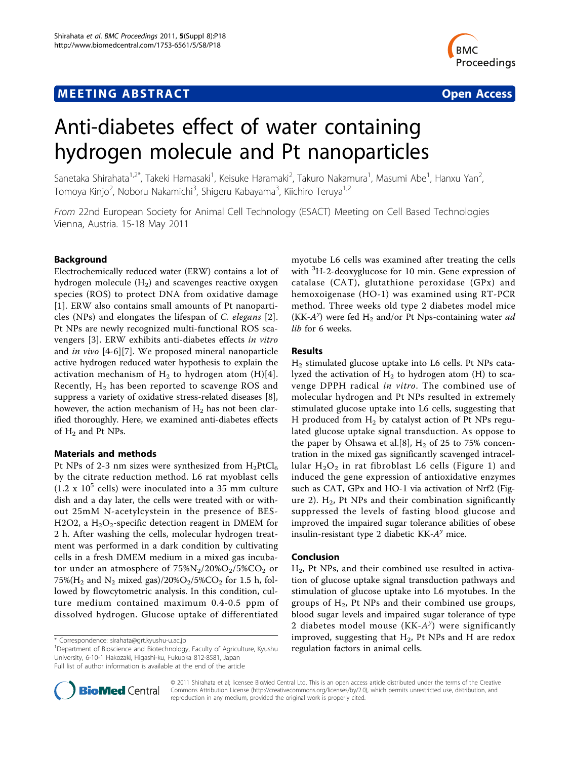# **MEETING ABSTRACT CONSUMING ABSTRACT**



# Anti-diabetes effect of water containing hydrogen molecule and Pt nanoparticles

Sanetaka Shirahata<sup>1,2\*</sup>, Takeki Hamasaki<sup>1</sup>, Keisuke Haramaki<sup>2</sup>, Takuro Nakamura<sup>1</sup>, Masumi Abe<sup>1</sup>, Hanxu Yan<sup>2</sup> .<br>, Tomoya Kinjo<sup>2</sup>, Noboru Nakamichi<sup>3</sup>, Shigeru Kabayama<sup>3</sup>, Kiichiro Teruya<sup>1,2</sup>

From 22nd European Society for Animal Cell Technology (ESACT) Meeting on Cell Based Technologies Vienna, Austria. 15-18 May 2011

# Background

Electrochemically reduced water (ERW) contains a lot of hydrogen molecule  $(H_2)$  and scavenges reactive oxygen species (ROS) to protect DNA from oxidative damage [[1](#page-2-0)]. ERW also contains small amounts of Pt nanoparticles (NPs) and elongates the lifespan of C. elegans [[2](#page-2-0)]. Pt NPs are newly recognized multi-functional ROS scavengers [\[3\]](#page-2-0). ERW exhibits anti-diabetes effects in vitro and in vivo [\[4](#page-2-0)-[6\]\[7](#page-2-0)]. We proposed mineral nanoparticle active hydrogen reduced water hypothesis to explain the activation mechanism of  $H_2$  to hydrogen atom (H)[4]. Recently,  $H_2$  has been reported to scavenge ROS and suppress a variety of oxidative stress-related diseases [\[8](#page-2-0)], however, the action mechanism of  $H_2$  has not been clarified thoroughly. Here, we examined anti-diabetes effects of  $H_2$  and Pt NPs.

# Materials and methods

Pt NPs of 2-3 nm sizes were synthesized from  $H_2PtCl_6$ by the citrate reduction method. L6 rat myoblast cells  $(1.2 \times 10^5 \text{ cells})$  were inoculated into a 35 mm culture dish and a day later, the cells were treated with or without 25mM N-acetylcystein in the presence of BES-H2O2, a  $H_2O_2$ -specific detection reagent in DMEM for 2 h. After washing the cells, molecular hydrogen treatment was performed in a dark condition by cultivating cells in a fresh DMEM medium in a mixed gas incubator under an atmosphere of  $75\%N_2/20\%O_2/5\%CO_2$  or 75%( $H_2$  and  $N_2$  mixed gas)/20% $O_2/5$ %C $O_2$  for 1.5 h, followed by flowcytometric analysis. In this condition, culture medium contained maximum 0.4-0.5 ppm of dissolved hydrogen. Glucose uptake of differentiated

<sup>1</sup>Department of Bioscience and Biotechnology, Faculty of Agriculture, Kyushu University, 6-10-1 Hakozaki, Higashi-ku, Fukuoka 812-8581, Japan Full list of author information is available at the end of the article

myotube L6 cells was examined after treating the cells with <sup>3</sup>H-2-deoxyglucose for 10 min. Gene expression of catalase (CAT), glutathione peroxidase (GPx) and hemoxoigenase (HO-1) was examined using RT-PCR method. Three weeks old type 2 diabetes model mice (KK- $A^y$ ) were fed  $H_2$  and/or Pt Nps-containing water ad lib for 6 weeks.

### Results

H2 stimulated glucose uptake into L6 cells. Pt NPs catalyzed the activation of  $H_2$  to hydrogen atom (H) to scavenge DPPH radical in vitro. The combined use of molecular hydrogen and Pt NPs resulted in extremely stimulated glucose uptake into L6 cells, suggesting that H produced from  $H_2$  by catalyst action of Pt NPs regulated glucose uptake signal transduction. As oppose to the paper by Ohsawa et al. [8],  $H_2$  of 25 to 75% concentration in the mixed gas significantly scavenged intracellular  $H_2O_2$  in rat fibroblast L6 cells (Figure [1](#page-1-0)) and induced the gene expression of antioxidative enzymes such as CAT, GPx and HO-1 via activation of Nrf2 (Fig-ure [2](#page-1-0)).  $H_2$ , Pt NPs and their combination significantly suppressed the levels of fasting blood glucose and improved the impaired sugar tolerance abilities of obese insulin-resistant type 2 diabetic  $KK-A^{\gamma}$  mice.

# Conclusion

 $H<sub>2</sub>$ , Pt NPs, and their combined use resulted in activation of glucose uptake signal transduction pathways and stimulation of glucose uptake into L6 myotubes. In the groups of  $H_2$ , Pt NPs and their combined use groups, blood sugar levels and impaired sugar tolerance of type 2 diabetes model mouse  $(KK-A^y)$  were significantly improved, suggesting that  $H_2$ , Pt NPs and H are redox regulation factors in animal cells.



© 2011 Shirahata et al; licensee BioMed Central Ltd. This is an open access article distributed under the terms of the Creative Commons Attribution License [\(http://creativecommons.org/licenses/by/2.0](http://creativecommons.org/licenses/by/2.0)), which permits unrestricted use, distribution, and reproduction in any medium, provided the original work is properly cited.

<sup>\*</sup> Correspondence: [sirahata@grt.kyushu-u.ac.jp](mailto:sirahata@grt.kyushu-u.ac.jp)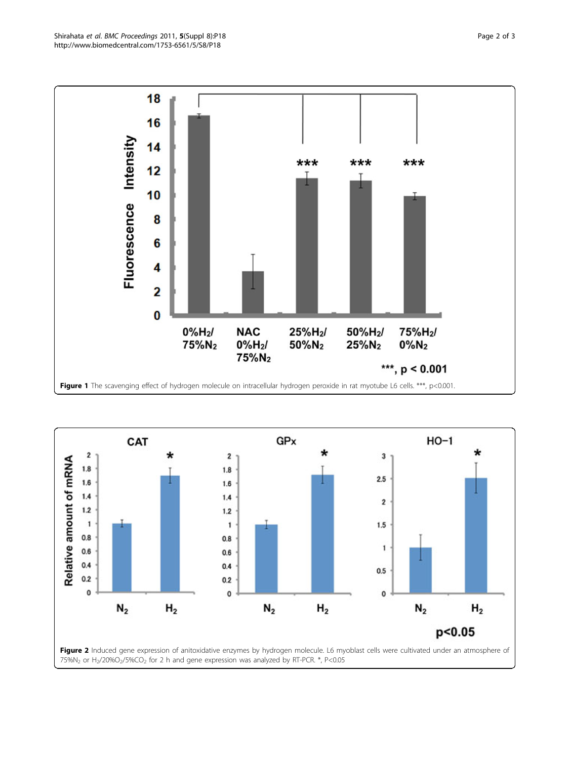<span id="page-1-0"></span>